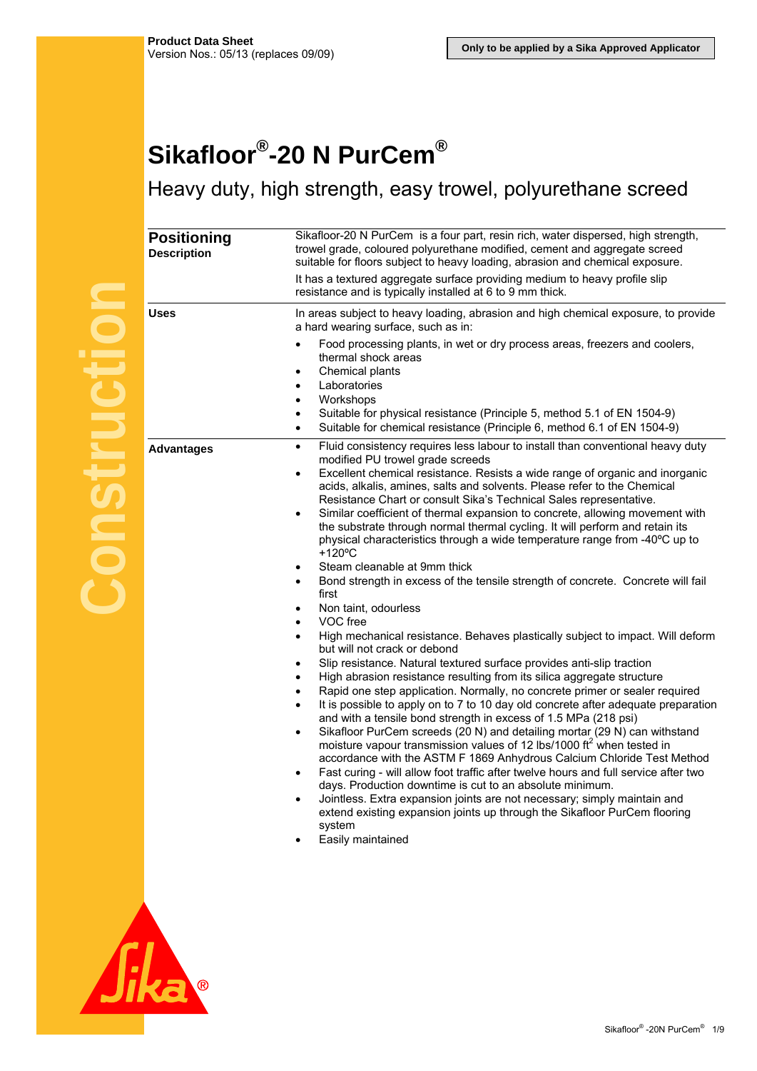## **Sikafloor®-20 N PurCem®**

Heavy duty, high strength, easy trowel, polyurethane screed

| <b>Positioning</b><br><b>Description</b> | Sikafloor-20 N PurCem is a four part, resin rich, water dispersed, high strength,<br>trowel grade, coloured polyurethane modified, cement and aggregate screed<br>suitable for floors subject to heavy loading, abrasion and chemical exposure.<br>It has a textured aggregate surface providing medium to heavy profile slip<br>resistance and is typically installed at 6 to 9 mm thick.                                                                                                                                                                                                                                                                                                                                                                                                                                                                                                                                                                                                                                                                                                                                                                                                                                                                                                                                                                                                                                                                                                                                                                                                                                                                                                                                                                                                                                                                                                                                                                          |
|------------------------------------------|---------------------------------------------------------------------------------------------------------------------------------------------------------------------------------------------------------------------------------------------------------------------------------------------------------------------------------------------------------------------------------------------------------------------------------------------------------------------------------------------------------------------------------------------------------------------------------------------------------------------------------------------------------------------------------------------------------------------------------------------------------------------------------------------------------------------------------------------------------------------------------------------------------------------------------------------------------------------------------------------------------------------------------------------------------------------------------------------------------------------------------------------------------------------------------------------------------------------------------------------------------------------------------------------------------------------------------------------------------------------------------------------------------------------------------------------------------------------------------------------------------------------------------------------------------------------------------------------------------------------------------------------------------------------------------------------------------------------------------------------------------------------------------------------------------------------------------------------------------------------------------------------------------------------------------------------------------------------|
| <b>Uses</b>                              | In areas subject to heavy loading, abrasion and high chemical exposure, to provide<br>a hard wearing surface, such as in:<br>Food processing plants, in wet or dry process areas, freezers and coolers,<br>thermal shock areas<br>Chemical plants<br>٠<br>Laboratories<br>٠<br>Workshops<br>$\bullet$<br>Suitable for physical resistance (Principle 5, method 5.1 of EN 1504-9)                                                                                                                                                                                                                                                                                                                                                                                                                                                                                                                                                                                                                                                                                                                                                                                                                                                                                                                                                                                                                                                                                                                                                                                                                                                                                                                                                                                                                                                                                                                                                                                    |
|                                          | Suitable for chemical resistance (Principle 6, method 6.1 of EN 1504-9)<br>٠                                                                                                                                                                                                                                                                                                                                                                                                                                                                                                                                                                                                                                                                                                                                                                                                                                                                                                                                                                                                                                                                                                                                                                                                                                                                                                                                                                                                                                                                                                                                                                                                                                                                                                                                                                                                                                                                                        |
| <b>Advantages</b>                        | Fluid consistency requires less labour to install than conventional heavy duty<br>$\bullet$<br>modified PU trowel grade screeds<br>Excellent chemical resistance. Resists a wide range of organic and inorganic<br>٠<br>acids, alkalis, amines, salts and solvents. Please refer to the Chemical<br>Resistance Chart or consult Sika's Technical Sales representative.<br>Similar coefficient of thermal expansion to concrete, allowing movement with<br>$\bullet$<br>the substrate through normal thermal cycling. It will perform and retain its<br>physical characteristics through a wide temperature range from -40°C up to<br>$+120^{\circ}$ C<br>Steam cleanable at 9mm thick<br>٠<br>Bond strength in excess of the tensile strength of concrete. Concrete will fail<br>first<br>Non taint, odourless<br>VOC free<br>٠<br>High mechanical resistance. Behaves plastically subject to impact. Will deform<br>٠<br>but will not crack or debond<br>Slip resistance. Natural textured surface provides anti-slip traction<br>٠<br>High abrasion resistance resulting from its silica aggregate structure<br>٠<br>Rapid one step application. Normally, no concrete primer or sealer required<br>٠<br>It is possible to apply on to 7 to 10 day old concrete after adequate preparation<br>and with a tensile bond strength in excess of 1.5 MPa (218 psi)<br>Sikafloor PurCem screeds (20 N) and detailing mortar (29 N) can withstand<br>$\bullet$<br>moisture vapour transmission values of 12 lbs/1000 ft <sup>2</sup> when tested in<br>accordance with the ASTM F 1869 Anhydrous Calcium Chloride Test Method<br>Fast curing - will allow foot traffic after twelve hours and full service after two<br>days. Production downtime is cut to an absolute minimum.<br>Jointless. Extra expansion joints are not necessary; simply maintain and<br>extend existing expansion joints up through the Sikafloor PurCem flooring<br>system<br>Easily maintained |

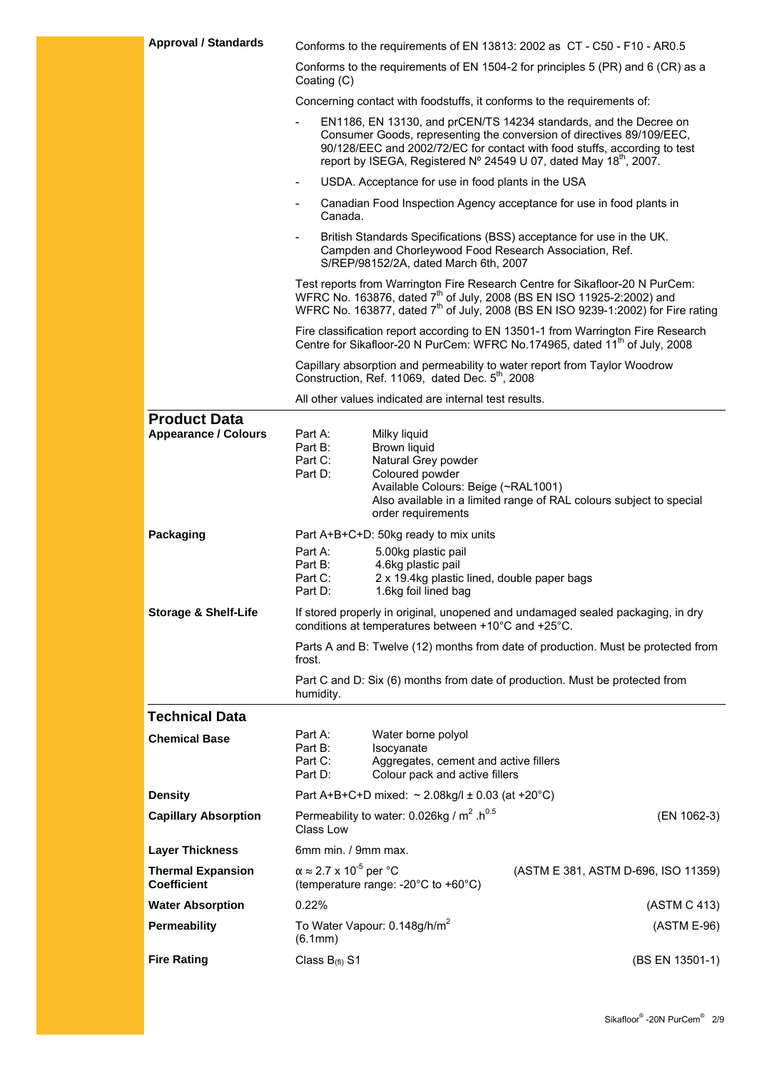| <b>Approval / Standards</b>                        |                                            |                                                                                                                                                           | Conforms to the requirements of EN 13813: 2002 as CT - C50 - F10 - AR0.5                                                                                                                                                                                                                                 |
|----------------------------------------------------|--------------------------------------------|-----------------------------------------------------------------------------------------------------------------------------------------------------------|----------------------------------------------------------------------------------------------------------------------------------------------------------------------------------------------------------------------------------------------------------------------------------------------------------|
|                                                    | Coating (C)                                |                                                                                                                                                           | Conforms to the requirements of EN 1504-2 for principles 5 (PR) and 6 (CR) as a                                                                                                                                                                                                                          |
|                                                    |                                            |                                                                                                                                                           | Concerning contact with foodstuffs, it conforms to the requirements of:                                                                                                                                                                                                                                  |
|                                                    |                                            |                                                                                                                                                           | EN1186, EN 13130, and prCEN/TS 14234 standards, and the Decree on<br>Consumer Goods, representing the conversion of directives 89/109/EEC,<br>90/128/EEC and 2002/72/EC for contact with food stuffs, according to test<br>report by ISEGA, Registered Nº 24549 U 07, dated May 18 <sup>th</sup> , 2007. |
|                                                    |                                            | USDA. Acceptance for use in food plants in the USA                                                                                                        |                                                                                                                                                                                                                                                                                                          |
|                                                    | $\qquad \qquad \blacksquare$<br>Canada.    |                                                                                                                                                           | Canadian Food Inspection Agency acceptance for use in food plants in                                                                                                                                                                                                                                     |
|                                                    | $\overline{\phantom{a}}$                   | Campden and Chorleywood Food Research Association, Ref.<br>S/REP/98152/2A, dated March 6th, 2007                                                          | British Standards Specifications (BSS) acceptance for use in the UK.                                                                                                                                                                                                                                     |
|                                                    |                                            |                                                                                                                                                           | Test reports from Warrington Fire Research Centre for Sikafloor-20 N PurCem:<br>WFRC No. 163876, dated 7 <sup>th</sup> of July, 2008 (BS EN ISO 11925-2:2002) and<br>WFRC No. 163877, dated 7 <sup>th</sup> of July, 2008 (BS EN ISO 9239-1:2002) for Fire rating                                        |
|                                                    |                                            |                                                                                                                                                           | Fire classification report according to EN 13501-1 from Warrington Fire Research<br>Centre for Sikafloor-20 N PurCem: WFRC No.174965, dated 11 <sup>th</sup> of July, 2008                                                                                                                               |
|                                                    |                                            | Construction, Ref. 11069, dated Dec. 5 <sup>th</sup> , 2008                                                                                               | Capillary absorption and permeability to water report from Taylor Woodrow                                                                                                                                                                                                                                |
|                                                    |                                            | All other values indicated are internal test results.                                                                                                     |                                                                                                                                                                                                                                                                                                          |
| <b>Product Data</b><br><b>Appearance / Colours</b> | Part A:<br>Part B:<br>Part C:<br>Part D:   | Milky liquid<br>Brown liquid<br>Natural Grey powder<br>Coloured powder<br>Available Colours: Beige (~RAL1001)                                             | Also available in a limited range of RAL colours subject to special                                                                                                                                                                                                                                      |
|                                                    |                                            | order requirements                                                                                                                                        |                                                                                                                                                                                                                                                                                                          |
| Packaging                                          | Part A:<br>Part B:<br>Part C:<br>Part D:   | Part A+B+C+D: 50kg ready to mix units<br>5.00kg plastic pail<br>4.6kg plastic pail<br>2 x 19.4kg plastic lined, double paper bags<br>1.6kg foil lined bag |                                                                                                                                                                                                                                                                                                          |
| <b>Storage &amp; Shelf-Life</b>                    |                                            | conditions at temperatures between +10°C and +25°C.                                                                                                       | If stored properly in original, unopened and undamaged sealed packaging, in dry                                                                                                                                                                                                                          |
|                                                    | frost.                                     |                                                                                                                                                           | Parts A and B: Twelve (12) months from date of production. Must be protected from                                                                                                                                                                                                                        |
|                                                    | humidity.                                  |                                                                                                                                                           | Part C and D: Six (6) months from date of production. Must be protected from                                                                                                                                                                                                                             |
| <b>Technical Data</b>                              |                                            |                                                                                                                                                           |                                                                                                                                                                                                                                                                                                          |
| <b>Chemical Base</b>                               | Part A:<br>Part B:<br>Part C:<br>Part D:   | Water borne polyol<br>Isocyanate<br>Aggregates, cement and active fillers<br>Colour pack and active fillers                                               |                                                                                                                                                                                                                                                                                                          |
| <b>Density</b>                                     |                                            | Part A+B+C+D mixed: $\sim$ 2.08kg/l ± 0.03 (at +20°C)                                                                                                     |                                                                                                                                                                                                                                                                                                          |
| <b>Capillary Absorption</b>                        | Class Low                                  | Permeability to water: 0.026kg / $m^2 \cdot h^{0.5}$                                                                                                      | (EN 1062-3)                                                                                                                                                                                                                                                                                              |
| <b>Layer Thickness</b>                             | 6mm min. / 9mm max.                        |                                                                                                                                                           |                                                                                                                                                                                                                                                                                                          |
| <b>Thermal Expansion</b><br><b>Coefficient</b>     | $\alpha \approx 2.7 \times 10^{-5}$ per °C | (temperature range: -20°C to +60°C)                                                                                                                       | (ASTM E 381, ASTM D-696, ISO 11359)                                                                                                                                                                                                                                                                      |
| <b>Water Absorption</b>                            | 0.22%                                      |                                                                                                                                                           | (ASTM C 413)                                                                                                                                                                                                                                                                                             |
| <b>Permeability</b>                                | (6.1mm)                                    | To Water Vapour: 0.148g/h/m <sup>2</sup>                                                                                                                  | (ASTM E-96)                                                                                                                                                                                                                                                                                              |
| <b>Fire Rating</b>                                 | Class $B_{(fl)} S1$                        |                                                                                                                                                           | (BS EN 13501-1)                                                                                                                                                                                                                                                                                          |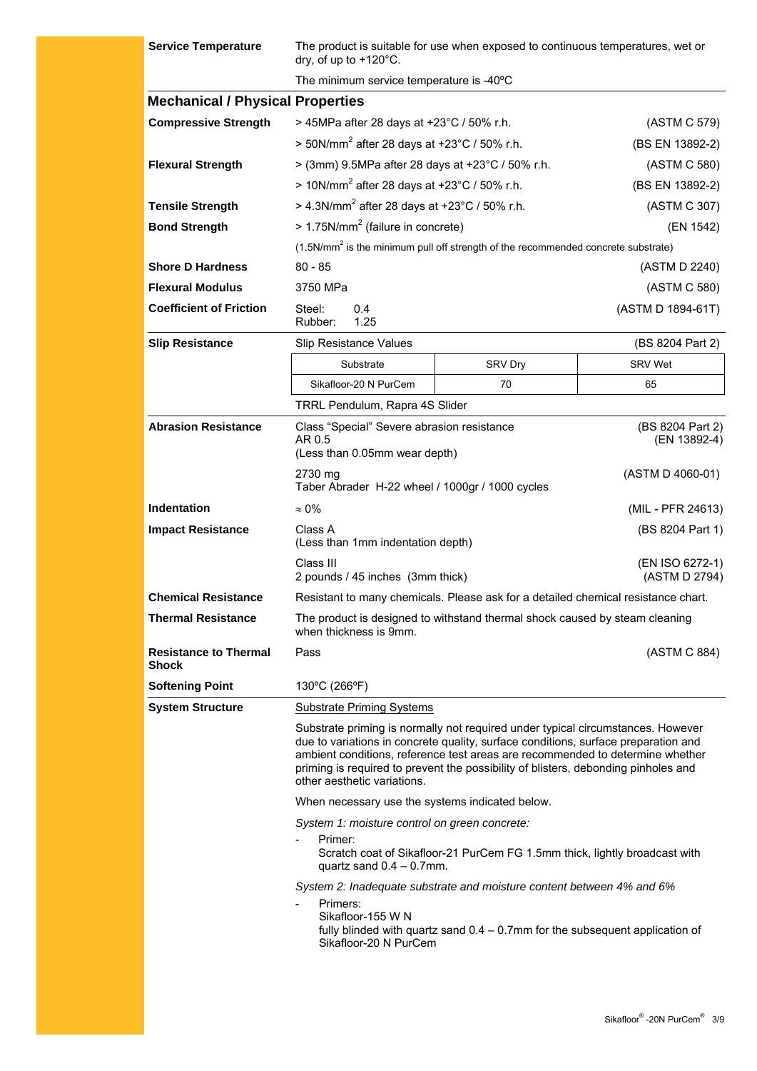| <b>Service Temperature</b>                   | The product is suitable for use when exposed to continuous temperatures, wet or<br>dry, of up to $+120^{\circ}$ C.                                                                                                                                                                                                                                                          |                                                                                                                                                          |                                  |  |
|----------------------------------------------|-----------------------------------------------------------------------------------------------------------------------------------------------------------------------------------------------------------------------------------------------------------------------------------------------------------------------------------------------------------------------------|----------------------------------------------------------------------------------------------------------------------------------------------------------|----------------------------------|--|
|                                              | The minimum service temperature is -40°C                                                                                                                                                                                                                                                                                                                                    |                                                                                                                                                          |                                  |  |
| <b>Mechanical / Physical Properties</b>      |                                                                                                                                                                                                                                                                                                                                                                             |                                                                                                                                                          |                                  |  |
| <b>Compressive Strength</b>                  | > 45MPa after 28 days at +23°C / 50% r.h.                                                                                                                                                                                                                                                                                                                                   |                                                                                                                                                          | (ASTM C 579)                     |  |
|                                              | > 50N/mm <sup>2</sup> after 28 days at +23°C / 50% r.h.                                                                                                                                                                                                                                                                                                                     |                                                                                                                                                          | (BS EN 13892-2)                  |  |
| <b>Flexural Strength</b>                     | > (3mm) 9.5MPa after 28 days at +23°C / 50% r.h.                                                                                                                                                                                                                                                                                                                            |                                                                                                                                                          | (ASTM C 580)                     |  |
|                                              | $> 10N/mm^2$ after 28 days at +23°C / 50% r.h.                                                                                                                                                                                                                                                                                                                              |                                                                                                                                                          | (BS EN 13892-2)                  |  |
| <b>Tensile Strength</b>                      | > 4.3N/mm <sup>2</sup> after 28 days at +23°C / 50% r.h.                                                                                                                                                                                                                                                                                                                    |                                                                                                                                                          | (ASTM C 307)                     |  |
| <b>Bond Strength</b>                         | $> 1.75$ N/mm <sup>2</sup> (failure in concrete)                                                                                                                                                                                                                                                                                                                            |                                                                                                                                                          | (EN 1542)                        |  |
|                                              |                                                                                                                                                                                                                                                                                                                                                                             | (1.5N/mm <sup>2</sup> is the minimum pull off strength of the recommended concrete substrate)                                                            |                                  |  |
| <b>Shore D Hardness</b>                      | $80 - 85$                                                                                                                                                                                                                                                                                                                                                                   |                                                                                                                                                          | (ASTM D 2240)                    |  |
| <b>Flexural Modulus</b>                      | 3750 MPa                                                                                                                                                                                                                                                                                                                                                                    |                                                                                                                                                          | (ASTM C 580)                     |  |
| <b>Coefficient of Friction</b>               | Steel:<br>0.4<br>1.25<br>Rubber:                                                                                                                                                                                                                                                                                                                                            |                                                                                                                                                          | (ASTM D 1894-61T)                |  |
| <b>Slip Resistance</b>                       | <b>Slip Resistance Values</b>                                                                                                                                                                                                                                                                                                                                               |                                                                                                                                                          | (BS 8204 Part 2)                 |  |
|                                              | Substrate                                                                                                                                                                                                                                                                                                                                                                   | SRV Dry                                                                                                                                                  | <b>SRV Wet</b>                   |  |
|                                              | Sikafloor-20 N PurCem                                                                                                                                                                                                                                                                                                                                                       | 70                                                                                                                                                       | 65                               |  |
|                                              | TRRL Pendulum, Rapra 4S Slider                                                                                                                                                                                                                                                                                                                                              |                                                                                                                                                          |                                  |  |
| <b>Abrasion Resistance</b>                   | Class "Special" Severe abrasion resistance<br>AR 0.5<br>(Less than 0.05mm wear depth)                                                                                                                                                                                                                                                                                       |                                                                                                                                                          | (BS 8204 Part 2)<br>(EN 13892-4) |  |
|                                              | 2730 mg<br>Taber Abrader H-22 wheel / 1000gr / 1000 cycles                                                                                                                                                                                                                                                                                                                  |                                                                                                                                                          | (ASTM D 4060-01)                 |  |
| <b>Indentation</b>                           | $\approx 0\%$                                                                                                                                                                                                                                                                                                                                                               |                                                                                                                                                          | (MIL - PFR 24613)                |  |
| <b>Impact Resistance</b>                     | Class A<br>(Less than 1mm indentation depth)                                                                                                                                                                                                                                                                                                                                |                                                                                                                                                          | (BS 8204 Part 1)                 |  |
|                                              | Class III<br>2 pounds / 45 inches (3mm thick)                                                                                                                                                                                                                                                                                                                               |                                                                                                                                                          | (EN ISO 6272-1)<br>(ASTM D 2794) |  |
| <b>Chemical Resistance</b>                   | Resistant to many chemicals. Please ask for a detailed chemical resistance chart.                                                                                                                                                                                                                                                                                           |                                                                                                                                                          |                                  |  |
| <b>Thermal Resistance</b>                    | The product is designed to withstand thermal shock caused by steam cleaning<br>when thickness is 9mm.                                                                                                                                                                                                                                                                       |                                                                                                                                                          |                                  |  |
| <b>Resistance to Thermal</b><br><b>Shock</b> | Pass                                                                                                                                                                                                                                                                                                                                                                        |                                                                                                                                                          | (ASTM C 884)                     |  |
| <b>Softening Point</b>                       | 130°C (266°F)                                                                                                                                                                                                                                                                                                                                                               |                                                                                                                                                          |                                  |  |
| <b>System Structure</b>                      | <b>Substrate Priming Systems</b>                                                                                                                                                                                                                                                                                                                                            |                                                                                                                                                          |                                  |  |
|                                              | Substrate priming is normally not required under typical circumstances. However<br>due to variations in concrete quality, surface conditions, surface preparation and<br>ambient conditions, reference test areas are recommended to determine whether<br>priming is required to prevent the possibility of blisters, debonding pinholes and<br>other aesthetic variations. |                                                                                                                                                          |                                  |  |
|                                              | When necessary use the systems indicated below.                                                                                                                                                                                                                                                                                                                             |                                                                                                                                                          |                                  |  |
|                                              | System 1: moisture control on green concrete:<br>Primer:<br>Scratch coat of Sikafloor-21 PurCem FG 1.5mm thick, lightly broadcast with<br>quartz sand $0.4 - 0.7$ mm.                                                                                                                                                                                                       |                                                                                                                                                          |                                  |  |
|                                              | Primers:<br>$\overline{\phantom{a}}$<br>Sikafloor-155 W N<br>Sikafloor-20 N PurCem                                                                                                                                                                                                                                                                                          | System 2: Inadequate substrate and moisture content between 4% and 6%<br>fully blinded with quartz sand $0.4 - 0.7$ mm for the subsequent application of |                                  |  |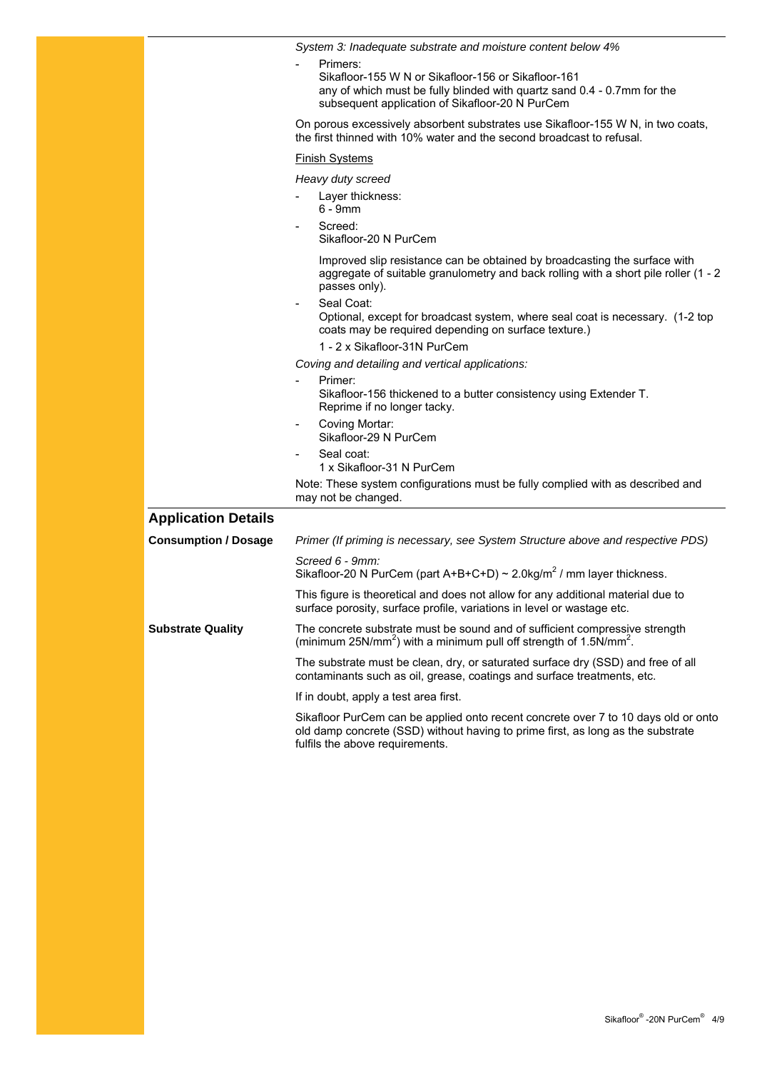|                             | System 3: Inadequate substrate and moisture content below 4%<br>Primers:                                                                                                                                 |
|-----------------------------|----------------------------------------------------------------------------------------------------------------------------------------------------------------------------------------------------------|
|                             | Sikafloor-155 W N or Sikafloor-156 or Sikafloor-161<br>any of which must be fully blinded with quartz sand 0.4 - 0.7mm for the<br>subsequent application of Sikafloor-20 N PurCem                        |
|                             | On porous excessively absorbent substrates use Sikafloor-155 W N, in two coats,<br>the first thinned with 10% water and the second broadcast to refusal.                                                 |
|                             | <b>Finish Systems</b>                                                                                                                                                                                    |
|                             | Heavy duty screed                                                                                                                                                                                        |
|                             | Layer thickness:<br>$6 - 9$ mm                                                                                                                                                                           |
|                             | Screed:<br>Sikafloor-20 N PurCem                                                                                                                                                                         |
|                             | Improved slip resistance can be obtained by broadcasting the surface with<br>aggregate of suitable granulometry and back rolling with a short pile roller (1 - 2<br>passes only).                        |
|                             | Seal Coat:<br>$\blacksquare$<br>Optional, except for broadcast system, where seal coat is necessary. (1-2 top<br>coats may be required depending on surface texture.)                                    |
|                             | 1 - 2 x Sikafloor-31N PurCem                                                                                                                                                                             |
|                             | Coving and detailing and vertical applications:                                                                                                                                                          |
|                             | Primer:<br>Sikafloor-156 thickened to a butter consistency using Extender T.<br>Reprime if no longer tacky.                                                                                              |
|                             | Coving Mortar:<br>$\overline{\phantom{a}}$<br>Sikafloor-29 N PurCem                                                                                                                                      |
|                             | Seal coat:<br>1 x Sikafloor-31 N PurCem                                                                                                                                                                  |
|                             | Note: These system configurations must be fully complied with as described and<br>may not be changed.                                                                                                    |
| <b>Application Details</b>  |                                                                                                                                                                                                          |
| <b>Consumption / Dosage</b> | Primer (If priming is necessary, see System Structure above and respective PDS)                                                                                                                          |
|                             | Screed 6 - 9mm:<br>Sikafloor-20 N PurCem (part A+B+C+D) ~ 2.0kg/m <sup>2</sup> / mm layer thickness.                                                                                                     |
|                             | This figure is theoretical and does not allow for any additional material due to<br>surface porosity, surface profile, variations in level or wastage etc.                                               |
| <b>Substrate Quality</b>    | The concrete substrate must be sound and of sufficient compressive strength<br>(minimum 25N/mm <sup>2</sup> ) with a minimum pull off strength of 1.5N/mm <sup>2</sup> .                                 |
|                             | The substrate must be clean, dry, or saturated surface dry (SSD) and free of all<br>contaminants such as oil, grease, coatings and surface treatments, etc.                                              |
|                             | If in doubt, apply a test area first.                                                                                                                                                                    |
|                             | Sikafloor PurCem can be applied onto recent concrete over 7 to 10 days old or onto<br>old damp concrete (SSD) without having to prime first, as long as the substrate<br>fulfils the above requirements. |
|                             |                                                                                                                                                                                                          |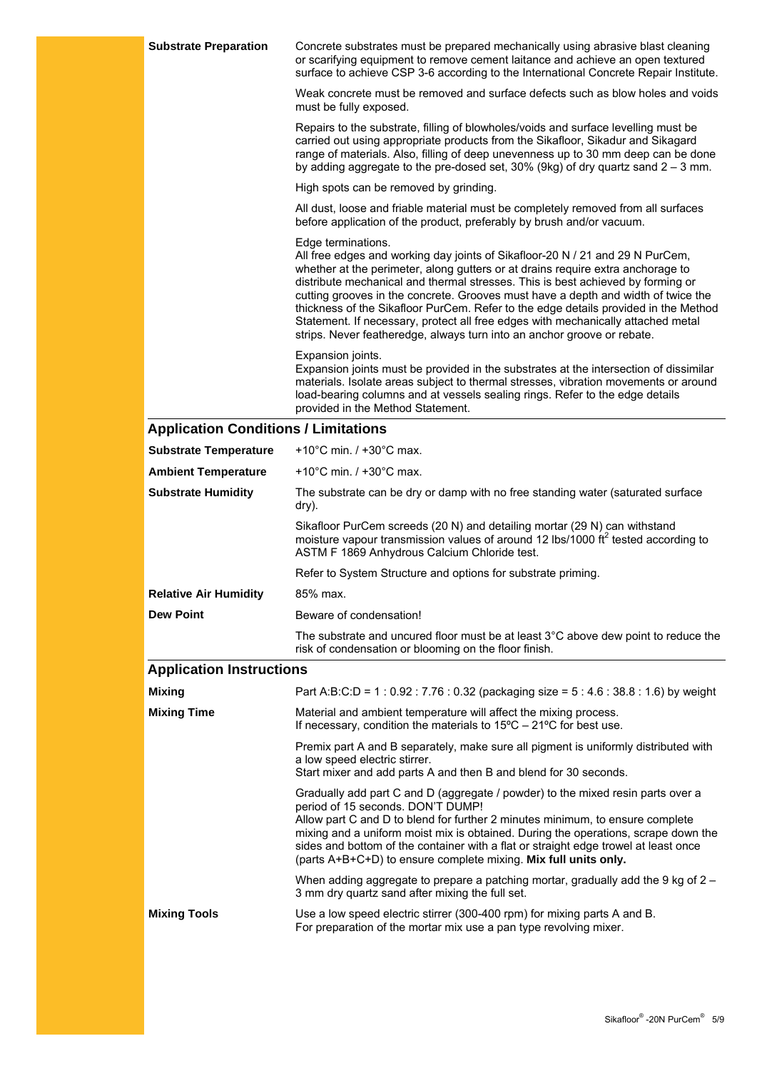| Concrete substrates must be prepared mechanically using abrasive blast cleaning<br>or scarifying equipment to remove cement laitance and achieve an open textured<br>surface to achieve CSP 3-6 according to the International Concrete Repair Institute.                                                                                                                                                                                                                                                                                                                                                            |
|----------------------------------------------------------------------------------------------------------------------------------------------------------------------------------------------------------------------------------------------------------------------------------------------------------------------------------------------------------------------------------------------------------------------------------------------------------------------------------------------------------------------------------------------------------------------------------------------------------------------|
| Weak concrete must be removed and surface defects such as blow holes and voids<br>must be fully exposed.                                                                                                                                                                                                                                                                                                                                                                                                                                                                                                             |
| Repairs to the substrate, filling of blowholes/voids and surface levelling must be<br>carried out using appropriate products from the Sikafloor, Sikadur and Sikagard<br>range of materials. Also, filling of deep unevenness up to 30 mm deep can be done<br>by adding aggregate to the pre-dosed set, $30\%$ (9kg) of dry quartz sand $2 - 3$ mm.                                                                                                                                                                                                                                                                  |
| High spots can be removed by grinding.                                                                                                                                                                                                                                                                                                                                                                                                                                                                                                                                                                               |
| All dust, loose and friable material must be completely removed from all surfaces<br>before application of the product, preferably by brush and/or vacuum.                                                                                                                                                                                                                                                                                                                                                                                                                                                           |
| Edge terminations.<br>All free edges and working day joints of Sikafloor-20 N / 21 and 29 N PurCem,<br>whether at the perimeter, along gutters or at drains require extra anchorage to<br>distribute mechanical and thermal stresses. This is best achieved by forming or<br>cutting grooves in the concrete. Grooves must have a depth and width of twice the<br>thickness of the Sikafloor PurCem. Refer to the edge details provided in the Method<br>Statement. If necessary, protect all free edges with mechanically attached metal<br>strips. Never featheredge, always turn into an anchor groove or rebate. |
| Expansion joints.<br>Expansion joints must be provided in the substrates at the intersection of dissimilar<br>materials. Isolate areas subject to thermal stresses, vibration movements or around<br>load-bearing columns and at vessels sealing rings. Refer to the edge details<br>provided in the Method Statement.                                                                                                                                                                                                                                                                                               |
| <b>Application Conditions / Limitations</b>                                                                                                                                                                                                                                                                                                                                                                                                                                                                                                                                                                          |
| +10 $^{\circ}$ C min. / +30 $^{\circ}$ C max.                                                                                                                                                                                                                                                                                                                                                                                                                                                                                                                                                                        |
| +10 $^{\circ}$ C min. / +30 $^{\circ}$ C max.                                                                                                                                                                                                                                                                                                                                                                                                                                                                                                                                                                        |
| The substrate can be dry or damp with no free standing water (saturated surface<br>dry).                                                                                                                                                                                                                                                                                                                                                                                                                                                                                                                             |
| Sikafloor PurCem screeds (20 N) and detailing mortar (29 N) can withstand<br>moisture vapour transmission values of around 12 lbs/1000 ft <sup>2</sup> tested according to<br>ASTM F 1869 Anhydrous Calcium Chloride test.                                                                                                                                                                                                                                                                                                                                                                                           |
| Refer to System Structure and options for substrate priming.                                                                                                                                                                                                                                                                                                                                                                                                                                                                                                                                                         |
| 85% max.                                                                                                                                                                                                                                                                                                                                                                                                                                                                                                                                                                                                             |
| Beware of condensation!                                                                                                                                                                                                                                                                                                                                                                                                                                                                                                                                                                                              |
| The substrate and uncured floor must be at least $3^{\circ}$ C above dew point to reduce the<br>risk of condensation or blooming on the floor finish.                                                                                                                                                                                                                                                                                                                                                                                                                                                                |
| <b>Application Instructions</b>                                                                                                                                                                                                                                                                                                                                                                                                                                                                                                                                                                                      |
| Part A:B:C:D = $1:0.92:7.76:0.32$ (packaging size = $5:4.6:38.8:1.6$ ) by weight                                                                                                                                                                                                                                                                                                                                                                                                                                                                                                                                     |
| Material and ambient temperature will affect the mixing process.<br>If necessary, condition the materials to $15^{\circ}$ C – 21°C for best use.                                                                                                                                                                                                                                                                                                                                                                                                                                                                     |
| Premix part A and B separately, make sure all pigment is uniformly distributed with<br>a low speed electric stirrer.<br>Start mixer and add parts A and then B and blend for 30 seconds.                                                                                                                                                                                                                                                                                                                                                                                                                             |
| Gradually add part C and D (aggregate / powder) to the mixed resin parts over a<br>period of 15 seconds. DON'T DUMP!<br>Allow part C and D to blend for further 2 minutes minimum, to ensure complete<br>mixing and a uniform moist mix is obtained. During the operations, scrape down the<br>sides and bottom of the container with a flat or straight edge trowel at least once<br>(parts A+B+C+D) to ensure complete mixing. Mix full units only.                                                                                                                                                                |
|                                                                                                                                                                                                                                                                                                                                                                                                                                                                                                                                                                                                                      |
| When adding aggregate to prepare a patching mortar, gradually add the 9 kg of $2 -$<br>3 mm dry quartz sand after mixing the full set.                                                                                                                                                                                                                                                                                                                                                                                                                                                                               |
|                                                                                                                                                                                                                                                                                                                                                                                                                                                                                                                                                                                                                      |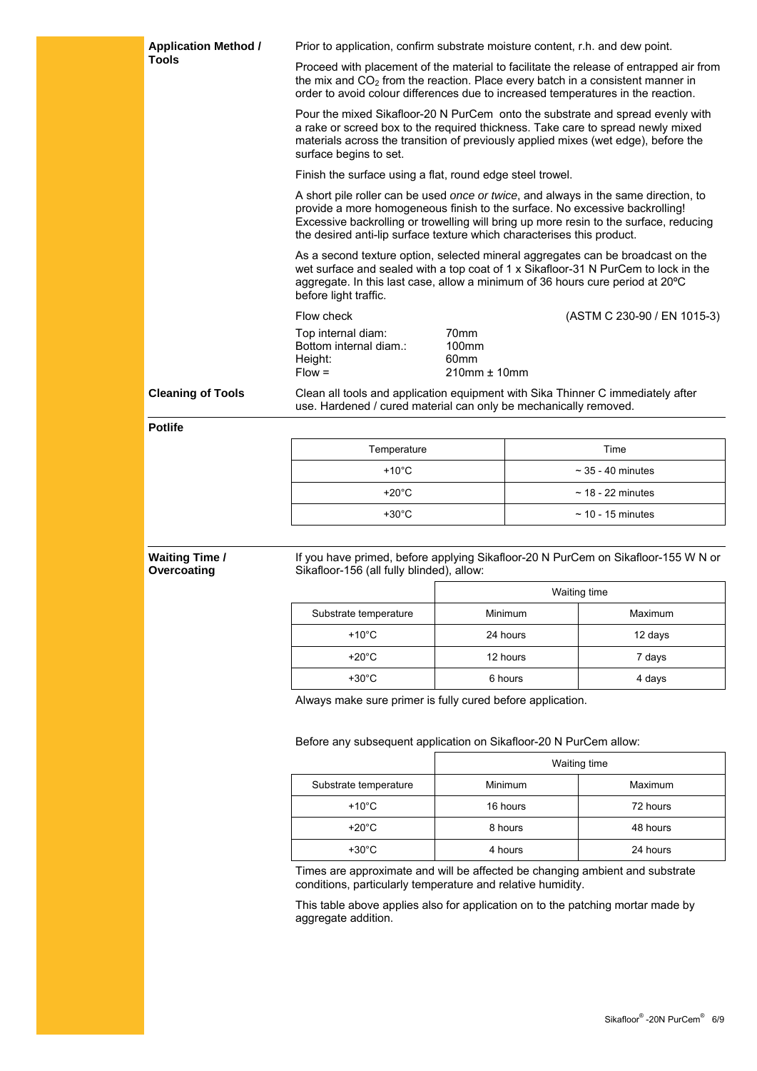| <b>Application Method /</b><br>Prior to application, confirm substrate moisture content, r.h. and dew point. |                                                                                                                                                                                                                                                                                                                                       |                                                                                                                                                                                                                                                        |                        |                                                                                   |  |
|--------------------------------------------------------------------------------------------------------------|---------------------------------------------------------------------------------------------------------------------------------------------------------------------------------------------------------------------------------------------------------------------------------------------------------------------------------------|--------------------------------------------------------------------------------------------------------------------------------------------------------------------------------------------------------------------------------------------------------|------------------------|-----------------------------------------------------------------------------------|--|
| <b>Tools</b>                                                                                                 | Proceed with placement of the material to facilitate the release of entrapped air from<br>the mix and CO <sub>2</sub> from the reaction. Place every batch in a consistent manner in<br>order to avoid colour differences due to increased temperatures in the reaction.                                                              |                                                                                                                                                                                                                                                        |                        |                                                                                   |  |
|                                                                                                              | Pour the mixed Sikafloor-20 N PurCem onto the substrate and spread evenly with<br>a rake or screed box to the required thickness. Take care to spread newly mixed<br>materials across the transition of previously applied mixes (wet edge), before the<br>surface begins to set.                                                     |                                                                                                                                                                                                                                                        |                        |                                                                                   |  |
|                                                                                                              | Finish the surface using a flat, round edge steel trowel.                                                                                                                                                                                                                                                                             |                                                                                                                                                                                                                                                        |                        |                                                                                   |  |
|                                                                                                              | A short pile roller can be used once or twice, and always in the same direction, to<br>provide a more homogeneous finish to the surface. No excessive backrolling!<br>Excessive backrolling or trowelling will bring up more resin to the surface, reducing<br>the desired anti-lip surface texture which characterises this product. |                                                                                                                                                                                                                                                        |                        |                                                                                   |  |
|                                                                                                              | before light traffic.                                                                                                                                                                                                                                                                                                                 | As a second texture option, selected mineral aggregates can be broadcast on the<br>wet surface and sealed with a top coat of 1 x Sikafloor-31 N PurCem to lock in the<br>aggregate. In this last case, allow a minimum of 36 hours cure period at 20°C |                        |                                                                                   |  |
|                                                                                                              | Flow check                                                                                                                                                                                                                                                                                                                            |                                                                                                                                                                                                                                                        |                        | (ASTM C 230-90 / EN 1015-3)                                                       |  |
|                                                                                                              | Top internal diam:<br>Bottom internal diam.:<br>Height:<br>$Flow =$                                                                                                                                                                                                                                                                   | 70 <sub>mm</sub><br>100mm<br>60mm<br>210mm ± 10mm                                                                                                                                                                                                      |                        |                                                                                   |  |
| <b>Cleaning of Tools</b>                                                                                     | Clean all tools and application equipment with Sika Thinner C immediately after<br>use. Hardened / cured material can only be mechanically removed.                                                                                                                                                                                   |                                                                                                                                                                                                                                                        |                        |                                                                                   |  |
| <b>Potlife</b>                                                                                               |                                                                                                                                                                                                                                                                                                                                       |                                                                                                                                                                                                                                                        |                        |                                                                                   |  |
|                                                                                                              | Temperature                                                                                                                                                                                                                                                                                                                           |                                                                                                                                                                                                                                                        |                        | Time                                                                              |  |
|                                                                                                              | +10 $^{\circ}$ C                                                                                                                                                                                                                                                                                                                      |                                                                                                                                                                                                                                                        |                        | $\sim$ 35 - 40 minutes                                                            |  |
|                                                                                                              | +20 $^{\circ}$ C                                                                                                                                                                                                                                                                                                                      |                                                                                                                                                                                                                                                        | $\sim$ 18 - 22 minutes |                                                                                   |  |
|                                                                                                              | $+30^{\circ}$ C                                                                                                                                                                                                                                                                                                                       |                                                                                                                                                                                                                                                        |                        | $\sim$ 10 - 15 minutes                                                            |  |
|                                                                                                              |                                                                                                                                                                                                                                                                                                                                       |                                                                                                                                                                                                                                                        |                        |                                                                                   |  |
| <b>Waiting Time /</b><br>Overcoating                                                                         | Sikafloor-156 (all fully blinded), allow:                                                                                                                                                                                                                                                                                             |                                                                                                                                                                                                                                                        |                        | If you have primed, before applying Sikafloor-20 N PurCem on Sikafloor-155 W N or |  |
|                                                                                                              |                                                                                                                                                                                                                                                                                                                                       |                                                                                                                                                                                                                                                        | Waiting time           |                                                                                   |  |
|                                                                                                              | Substrate temperature                                                                                                                                                                                                                                                                                                                 |                                                                                                                                                                                                                                                        | Minimum                | Maximum                                                                           |  |
|                                                                                                              | $+10^{\circ}$ C                                                                                                                                                                                                                                                                                                                       |                                                                                                                                                                                                                                                        | 24 hours               | 12 days                                                                           |  |
|                                                                                                              | $+20^{\circ}$ C                                                                                                                                                                                                                                                                                                                       |                                                                                                                                                                                                                                                        | 12 hours               | 7 days                                                                            |  |
|                                                                                                              | $+30^{\circ}$ C                                                                                                                                                                                                                                                                                                                       |                                                                                                                                                                                                                                                        | 6 hours                | 4 days                                                                            |  |
|                                                                                                              | Always make sure primer is fully cured before application.                                                                                                                                                                                                                                                                            |                                                                                                                                                                                                                                                        |                        |                                                                                   |  |
|                                                                                                              |                                                                                                                                                                                                                                                                                                                                       |                                                                                                                                                                                                                                                        |                        |                                                                                   |  |
|                                                                                                              | Before any subsequent application on Sikafloor-20 N PurCem allow:                                                                                                                                                                                                                                                                     |                                                                                                                                                                                                                                                        |                        |                                                                                   |  |
|                                                                                                              | Waiting time<br>Minimum<br>Substrate temperature<br>Maximum                                                                                                                                                                                                                                                                           |                                                                                                                                                                                                                                                        |                        |                                                                                   |  |
|                                                                                                              |                                                                                                                                                                                                                                                                                                                                       |                                                                                                                                                                                                                                                        |                        |                                                                                   |  |
|                                                                                                              | $+10^{\circ}$ C                                                                                                                                                                                                                                                                                                                       |                                                                                                                                                                                                                                                        | 16 hours               | 72 hours                                                                          |  |
|                                                                                                              | $+20^{\circ}$ C                                                                                                                                                                                                                                                                                                                       | 8 hours<br>48 hours                                                                                                                                                                                                                                    |                        |                                                                                   |  |
|                                                                                                              | $+30^{\circ}$ C                                                                                                                                                                                                                                                                                                                       | 4 hours<br>24 hours                                                                                                                                                                                                                                    |                        |                                                                                   |  |
|                                                                                                              | Times are approximate and will be affected be changing ambient and substrate<br>conditions, particularly temperature and relative humidity.<br>This table above applies also for application on to the patching mortar made by                                                                                                        |                                                                                                                                                                                                                                                        |                        |                                                                                   |  |
| aggregate addition.                                                                                          |                                                                                                                                                                                                                                                                                                                                       |                                                                                                                                                                                                                                                        |                        |                                                                                   |  |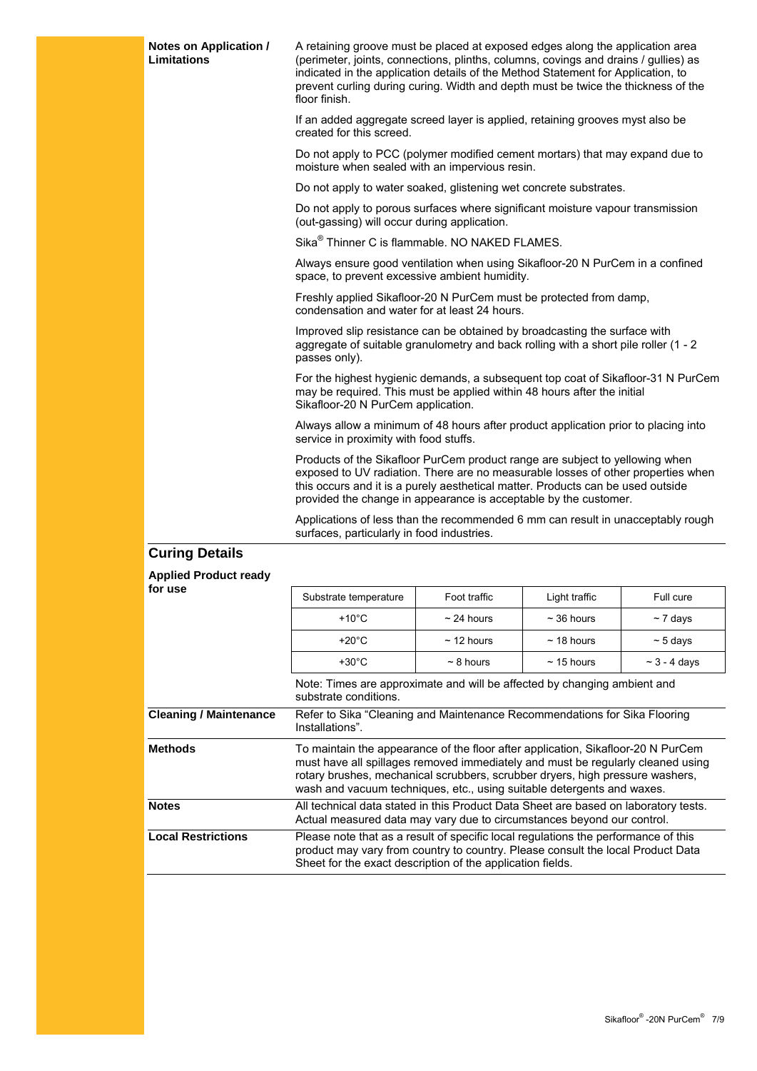| Notes on Application /<br><b>Limitations</b> | A retaining groove must be placed at exposed edges along the application area<br>(perimeter, joints, connections, plinths, columns, covings and drains / gullies) as<br>indicated in the application details of the Method Statement for Application, to<br>prevent curling during curing. Width and depth must be twice the thickness of the<br>floor finish. |                 |                  |                   |  |
|----------------------------------------------|----------------------------------------------------------------------------------------------------------------------------------------------------------------------------------------------------------------------------------------------------------------------------------------------------------------------------------------------------------------|-----------------|------------------|-------------------|--|
|                                              | If an added aggregate screed layer is applied, retaining grooves myst also be<br>created for this screed.                                                                                                                                                                                                                                                      |                 |                  |                   |  |
|                                              | Do not apply to PCC (polymer modified cement mortars) that may expand due to<br>moisture when sealed with an impervious resin.                                                                                                                                                                                                                                 |                 |                  |                   |  |
|                                              | Do not apply to water soaked, glistening wet concrete substrates.                                                                                                                                                                                                                                                                                              |                 |                  |                   |  |
|                                              | Do not apply to porous surfaces where significant moisture vapour transmission<br>(out-gassing) will occur during application.                                                                                                                                                                                                                                 |                 |                  |                   |  |
|                                              | Sika <sup>®</sup> Thinner C is flammable. NO NAKED FLAMES.                                                                                                                                                                                                                                                                                                     |                 |                  |                   |  |
|                                              | Always ensure good ventilation when using Sikafloor-20 N PurCem in a confined<br>space, to prevent excessive ambient humidity.                                                                                                                                                                                                                                 |                 |                  |                   |  |
|                                              | Freshly applied Sikafloor-20 N PurCem must be protected from damp,<br>condensation and water for at least 24 hours.                                                                                                                                                                                                                                            |                 |                  |                   |  |
|                                              | Improved slip resistance can be obtained by broadcasting the surface with<br>aggregate of suitable granulometry and back rolling with a short pile roller (1 - 2<br>passes only).                                                                                                                                                                              |                 |                  |                   |  |
|                                              | For the highest hygienic demands, a subsequent top coat of Sikafloor-31 N PurCem<br>may be required. This must be applied within 48 hours after the initial<br>Sikafloor-20 N PurCem application.                                                                                                                                                              |                 |                  |                   |  |
|                                              | Always allow a minimum of 48 hours after product application prior to placing into<br>service in proximity with food stuffs.                                                                                                                                                                                                                                   |                 |                  |                   |  |
|                                              | Products of the Sikafloor PurCem product range are subject to yellowing when<br>exposed to UV radiation. There are no measurable losses of other properties when<br>this occurs and it is a purely aesthetical matter. Products can be used outside<br>provided the change in appearance is acceptable by the customer.                                        |                 |                  |                   |  |
|                                              | Applications of less than the recommended 6 mm can result in unacceptably rough<br>surfaces, particularly in food industries.                                                                                                                                                                                                                                  |                 |                  |                   |  |
| <b>Curing Details</b>                        |                                                                                                                                                                                                                                                                                                                                                                |                 |                  |                   |  |
| <b>Applied Product ready</b>                 |                                                                                                                                                                                                                                                                                                                                                                |                 |                  |                   |  |
| for use                                      | Substrate temperature                                                                                                                                                                                                                                                                                                                                          | Foot traffic    | Light traffic    | Full cure         |  |
|                                              | $+10^{\circ}$ C                                                                                                                                                                                                                                                                                                                                                | $\sim$ 24 hours | $\sim$ 36 hours  | $\sim$ 7 days     |  |
|                                              | +20 $^{\circ}$ C                                                                                                                                                                                                                                                                                                                                               | $\sim$ 12 hours | $~\sim$ 18 hours | $\sim$ 5 days     |  |
|                                              | $+30^{\circ}$ C                                                                                                                                                                                                                                                                                                                                                | $\sim$ 8 hours  | $\sim$ 15 hours  | $\sim$ 3 - 4 days |  |
|                                              | Note: Times are approximate and will be affected by changing ambient and<br>euhetrate conditione.                                                                                                                                                                                                                                                              |                 |                  |                   |  |

|                               | inote: Times are approximate and will be affected by changing ambient and<br>substrate conditions.                                                                                                                                                                                                                             |
|-------------------------------|--------------------------------------------------------------------------------------------------------------------------------------------------------------------------------------------------------------------------------------------------------------------------------------------------------------------------------|
| <b>Cleaning / Maintenance</b> | Refer to Sika "Cleaning and Maintenance Recommendations for Sika Flooring<br>Installations".                                                                                                                                                                                                                                   |
| <b>Methods</b>                | To maintain the appearance of the floor after application, Sikafloor-20 N PurCem<br>must have all spillages removed immediately and must be regularly cleaned using<br>rotary brushes, mechanical scrubbers, scrubber dryers, high pressure washers,<br>wash and vacuum techniques, etc., using suitable detergents and waxes. |
| <b>Notes</b>                  | All technical data stated in this Product Data Sheet are based on laboratory tests.<br>Actual measured data may vary due to circumstances beyond our control.                                                                                                                                                                  |
| <b>Local Restrictions</b>     | Please note that as a result of specific local regulations the performance of this<br>product may vary from country to country. Please consult the local Product Data<br>Sheet for the exact description of the application fields.                                                                                            |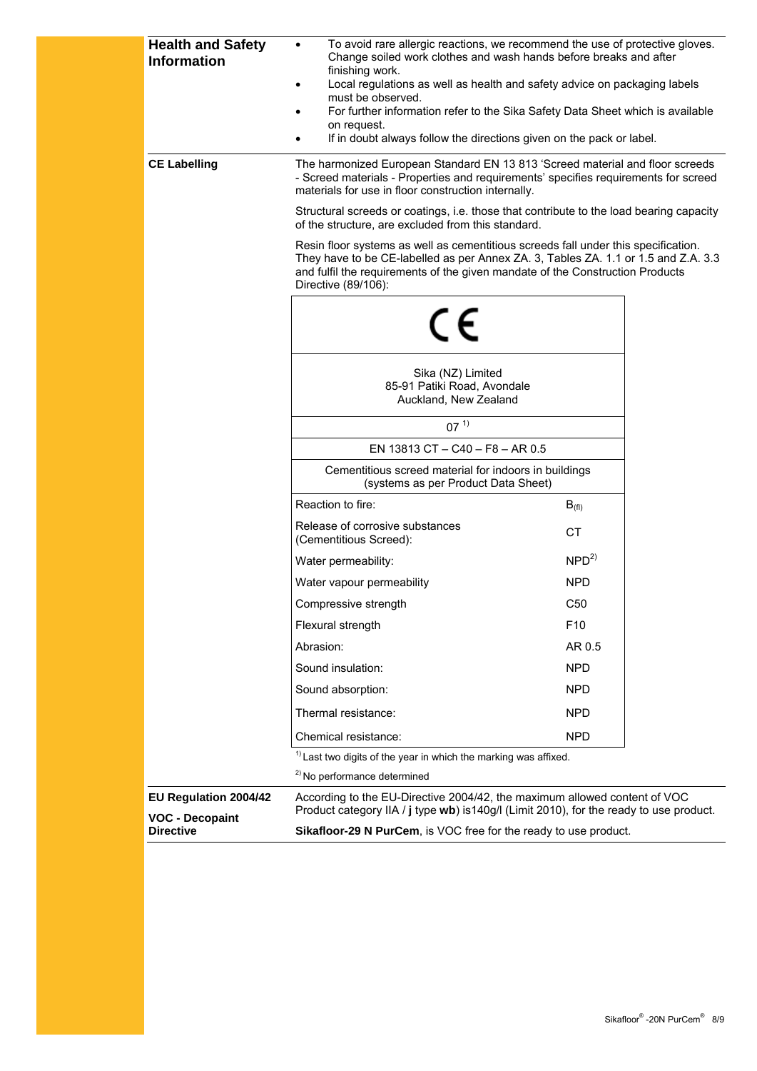| <b>Health and Safety</b><br><b>Information</b>  | To avoid rare allergic reactions, we recommend the use of protective gloves.<br>Change soiled work clothes and wash hands before breaks and after<br>finishing work.<br>Local regulations as well as health and safety advice on packaging labels<br>٠<br>must be observed.<br>For further information refer to the Sika Safety Data Sheet which is available<br>٠<br>on request.<br>If in doubt always follow the directions given on the pack or label. |                  |  |  |
|-------------------------------------------------|-----------------------------------------------------------------------------------------------------------------------------------------------------------------------------------------------------------------------------------------------------------------------------------------------------------------------------------------------------------------------------------------------------------------------------------------------------------|------------------|--|--|
| <b>CE Labelling</b>                             | The harmonized European Standard EN 13 813 'Screed material and floor screeds<br>- Screed materials - Properties and requirements' specifies requirements for screed<br>materials for use in floor construction internally.                                                                                                                                                                                                                               |                  |  |  |
|                                                 | Structural screeds or coatings, i.e. those that contribute to the load bearing capacity<br>of the structure, are excluded from this standard.                                                                                                                                                                                                                                                                                                             |                  |  |  |
|                                                 | Resin floor systems as well as cementitious screeds fall under this specification.<br>They have to be CE-labelled as per Annex ZA. 3, Tables ZA. 1.1 or 1.5 and Z.A. 3.3<br>and fulfil the requirements of the given mandate of the Construction Products<br>Directive (89/106):                                                                                                                                                                          |                  |  |  |
|                                                 | $\epsilon$                                                                                                                                                                                                                                                                                                                                                                                                                                                |                  |  |  |
|                                                 | Sika (NZ) Limited<br>85-91 Patiki Road, Avondale<br>Auckland, New Zealand                                                                                                                                                                                                                                                                                                                                                                                 |                  |  |  |
|                                                 | $07^{11}$                                                                                                                                                                                                                                                                                                                                                                                                                                                 |                  |  |  |
|                                                 | EN 13813 CT - C40 - F8 - AR 0.5                                                                                                                                                                                                                                                                                                                                                                                                                           |                  |  |  |
|                                                 | Cementitious screed material for indoors in buildings<br>(systems as per Product Data Sheet)                                                                                                                                                                                                                                                                                                                                                              |                  |  |  |
|                                                 | Reaction to fire:                                                                                                                                                                                                                                                                                                                                                                                                                                         | $B_{(fl)}$       |  |  |
|                                                 | Release of corrosive substances<br>(Cementitious Screed):                                                                                                                                                                                                                                                                                                                                                                                                 | <b>CT</b>        |  |  |
|                                                 | Water permeability:                                                                                                                                                                                                                                                                                                                                                                                                                                       | NPD <sup>2</sup> |  |  |
|                                                 | Water vapour permeability                                                                                                                                                                                                                                                                                                                                                                                                                                 | <b>NPD</b>       |  |  |
|                                                 | Compressive strength                                                                                                                                                                                                                                                                                                                                                                                                                                      | C <sub>50</sub>  |  |  |
|                                                 | Flexural strength                                                                                                                                                                                                                                                                                                                                                                                                                                         | F <sub>10</sub>  |  |  |
|                                                 | Abrasion:                                                                                                                                                                                                                                                                                                                                                                                                                                                 | AR 0.5           |  |  |
|                                                 | Sound insulation:                                                                                                                                                                                                                                                                                                                                                                                                                                         | <b>NPD</b>       |  |  |
|                                                 | Sound absorption:                                                                                                                                                                                                                                                                                                                                                                                                                                         | <b>NPD</b>       |  |  |
|                                                 | Thermal resistance:                                                                                                                                                                                                                                                                                                                                                                                                                                       | <b>NPD</b>       |  |  |
|                                                 | Chemical resistance:                                                                                                                                                                                                                                                                                                                                                                                                                                      | <b>NPD</b>       |  |  |
|                                                 | $1$ Last two digits of the year in which the marking was affixed.                                                                                                                                                                                                                                                                                                                                                                                         |                  |  |  |
|                                                 | <sup>2)</sup> No performance determined                                                                                                                                                                                                                                                                                                                                                                                                                   |                  |  |  |
| EU Regulation 2004/42<br><b>VOC - Decopaint</b> | According to the EU-Directive 2004/42, the maximum allowed content of VOC<br>Product category IIA / j type wb) is 140g/l (Limit 2010), for the ready to use product.                                                                                                                                                                                                                                                                                      |                  |  |  |
| <b>Directive</b>                                | Sikafloor-29 N PurCem, is VOC free for the ready to use product.                                                                                                                                                                                                                                                                                                                                                                                          |                  |  |  |